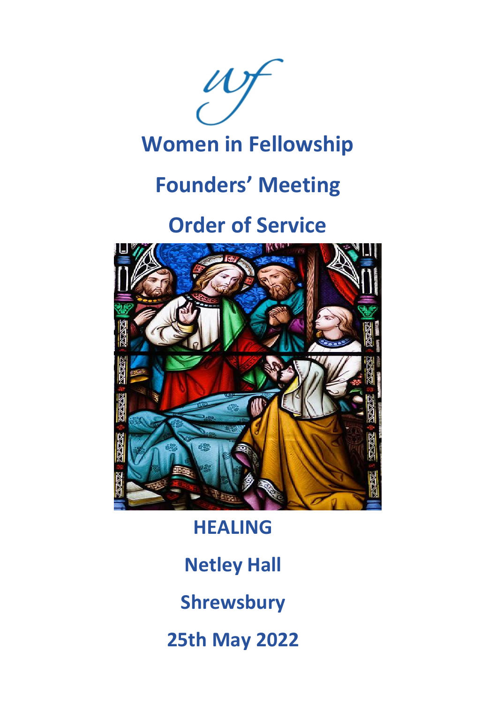

# **Women in Fellowship**

# **Founders' Meeting**

# **Order of Service**



# **HEALING Netley Hall Shrewsbury**

**25th May 2022**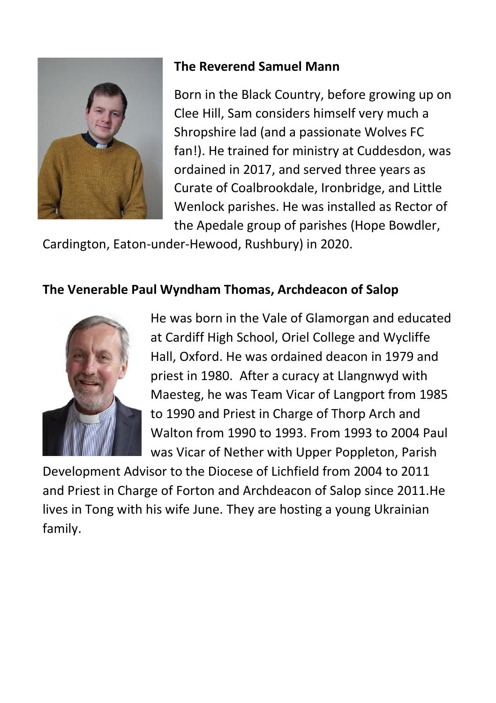

### **The Reverend Samuel Mann**

Born in the Black Country, before growing up on Clee Hill, Sam considers himself very much a Shropshire lad (and a passionate Wolves FC fan!). He trained for ministry at Cuddesdon, was ordained in 2017, and served three years as Curate of Coalbrookdale, Ironbridge, and Little Wenlock parishes. He was installed as Rector of the Apedale group of parishes (Hope Bowdler,

Cardington, Eaton-under-Hewood, Rushbury) in 2020.

### **The Venerable Paul Wyndham Thomas, Archdeacon of Salop**



He was born in the Vale of Glamorgan and educated at Cardiff High School, Oriel College and Wycliffe Hall, Oxford. He was ordained deacon in 1979 and priest in 1980. After a curacy at Llangnwyd with Maesteg, he was Team Vicar of Langport from 1985 to 1990 and Priest in Charge of Thorp Arch and Walton from 1990 to 1993. From 1993 to 2004 Paul was Vicar of Nether with Upper Poppleton, Parish

Development Advisor to the Diocese of Lichfield from 2004 to 2011 and Priest in Charge of Forton and Archdeacon of Salop since 2011.He lives in Tong with his wife June. They are hosting a young Ukrainian family.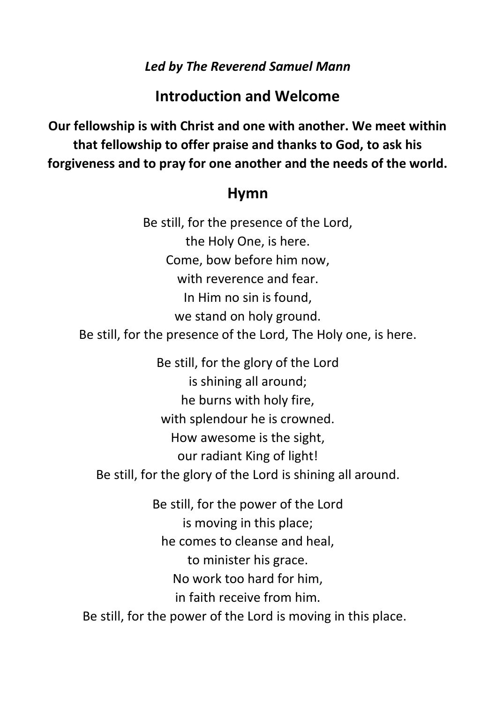#### *Led by The Reverend Samuel Mann*

### **Introduction and Welcome**

**Our fellowship is with Christ and one with another. We meet within that fellowship to offer praise and thanks to God, to ask his forgiveness and to pray for one another and the needs of the world.**

#### **Hymn**

Be still, for the presence of the Lord, the Holy One, is here. Come, bow before him now, with reverence and fear. In Him no sin is found, we stand on holy ground. Be still, for the presence of the Lord, The Holy one, is here. Be still, for the glory of the Lord is shining all around; he burns with holy fire, with splendour he is crowned. How awesome is the sight, our radiant King of light!

Be still, for the glory of the Lord is shining all around.

Be still, for the power of the Lord is moving in this place; he comes to cleanse and heal, to minister his grace. No work too hard for him, in faith receive from him. Be still, for the power of the Lord is moving in this place.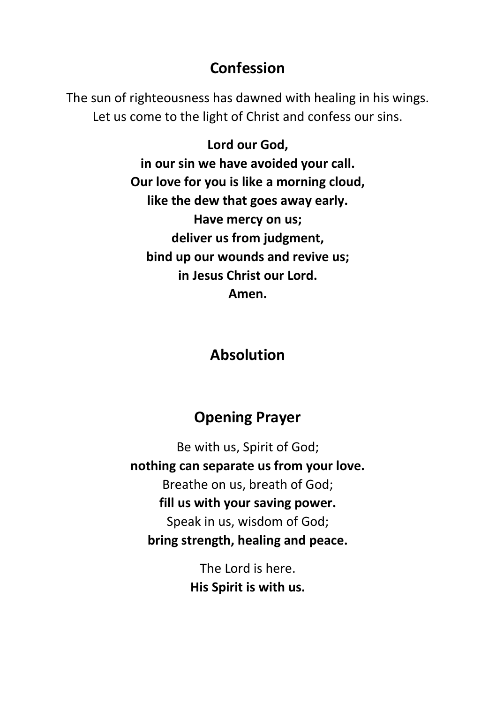# **Confession**

The sun of righteousness has dawned with healing in his wings. Let us come to the light of Christ and confess our sins.

> **Lord our God, in our sin we have avoided your call. Our love for you is like a morning cloud, like the dew that goes away early. Have mercy on us; deliver us from judgment, bind up our wounds and revive us; in Jesus Christ our Lord. Amen.**

# **Absolution**

# **Opening Prayer**

Be with us, Spirit of God; **nothing can separate us from your love.** Breathe on us, breath of God; **fill us with your saving power.** Speak in us, wisdom of God; **bring strength, healing and peace.** 

> The Lord is here. **His Spirit is with us.**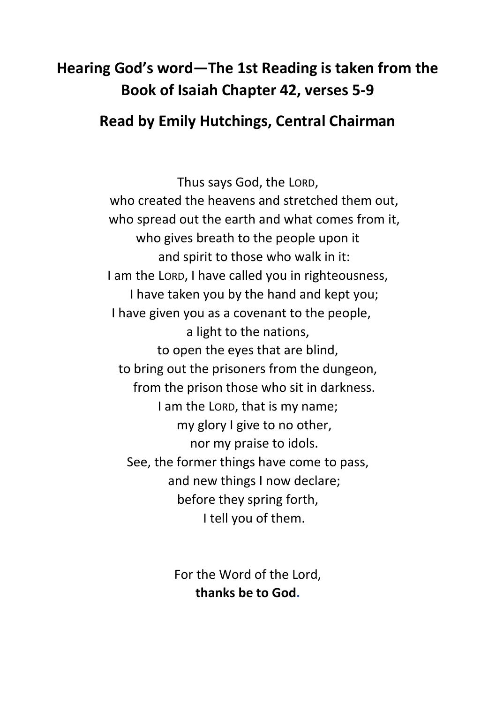# **Hearing God's word—The 1st Reading is taken from the Book of Isaiah Chapter 42, verses 5-9**

### **Read by Emily Hutchings, Central Chairman**

Thus says God, the LORD, who created the heavens and stretched them out, who spread out the earth and what comes from it, who gives breath to the people upon it and spirit to those who walk in it: I am the LORD, I have called you in righteousness, I have taken you by the hand and kept you; I have given you as a covenant to the people, a light to the nations, to open the eyes that are blind, to bring out the prisoners from the dungeon, from the prison those who sit in darkness. I am the LORD, that is my name; my glory I give to no other, nor my praise to idols. See, the former things have come to pass, and new things I now declare; before they spring forth, I tell you of them.

> For the Word of the Lord, **thanks be to God.**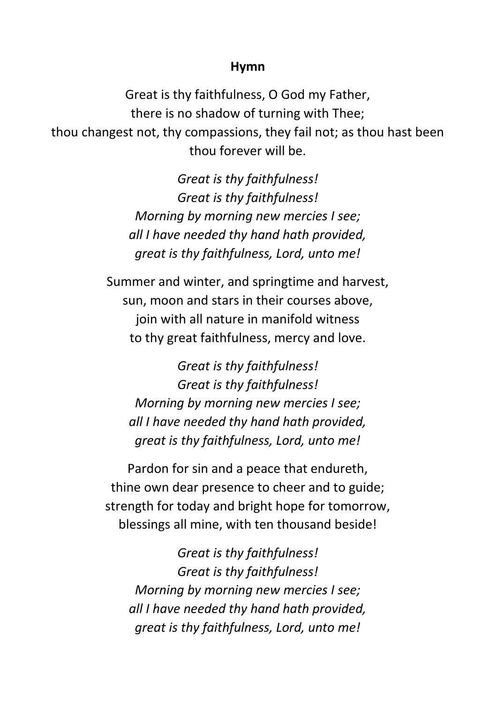#### **Hymn**

Great is thy faithfulness, O God my Father, there is no shadow of turning with Thee; thou changest not, thy compassions, they fail not; as thou hast been thou forever will be.

> *Great is thy faithfulness! Great is thy faithfulness! Morning by morning new mercies I see; all I have needed thy hand hath provided, great is thy faithfulness, Lord, unto me!*

Summer and winter, and springtime and harvest, sun, moon and stars in their courses above, join with all nature in manifold witness to thy great faithfulness, mercy and love.

*Great is thy faithfulness! Great is thy faithfulness! Morning by morning new mercies I see; all I have needed thy hand hath provided, great is thy faithfulness, Lord, unto me!*

Pardon for sin and a peace that endureth, thine own dear presence to cheer and to guide; strength for today and bright hope for tomorrow, blessings all mine, with ten thousand beside!

*Great is thy faithfulness! Great is thy faithfulness! Morning by morning new mercies I see; all I have needed thy hand hath provided, great is thy faithfulness, Lord, unto me!*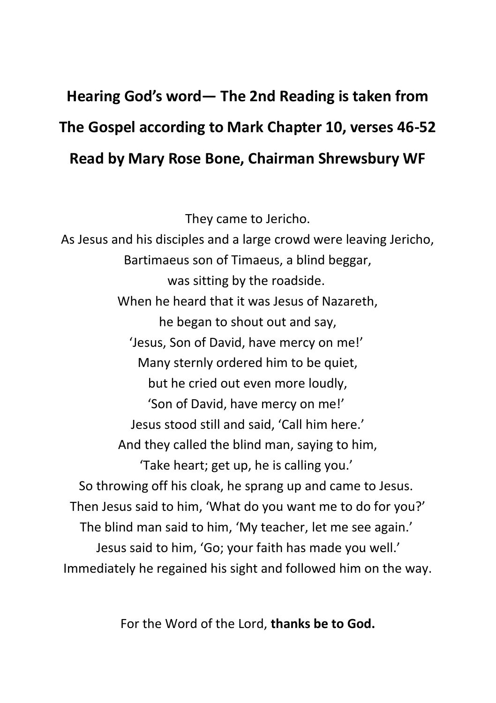# **Hearing God's word— The 2nd Reading is taken from The Gospel according to Mark Chapter 10, verses 46-52 Read by Mary Rose Bone, Chairman Shrewsbury WF**

They came to Jericho.

As Jesus and his disciples and a large crowd were leaving Jericho, Bartimaeus son of Timaeus, a blind beggar, was sitting by the roadside. When he heard that it was Jesus of Nazareth, he began to shout out and say, 'Jesus, Son of David, have mercy on me!' Many sternly ordered him to be quiet, but he cried out even more loudly, 'Son of David, have mercy on me!' Jesus stood still and said, 'Call him here.' And they called the blind man, saying to him, 'Take heart; get up, he is calling you.' So throwing off his cloak, he sprang up and came to Jesus. Then Jesus said to him, 'What do you want me to do for you?' The blind man said to him, 'My teacher, let me see again.' Jesus said to him, 'Go; your faith has made you well.' Immediately he regained his sight and followed him on the way.

For the Word of the Lord, **thanks be to God.**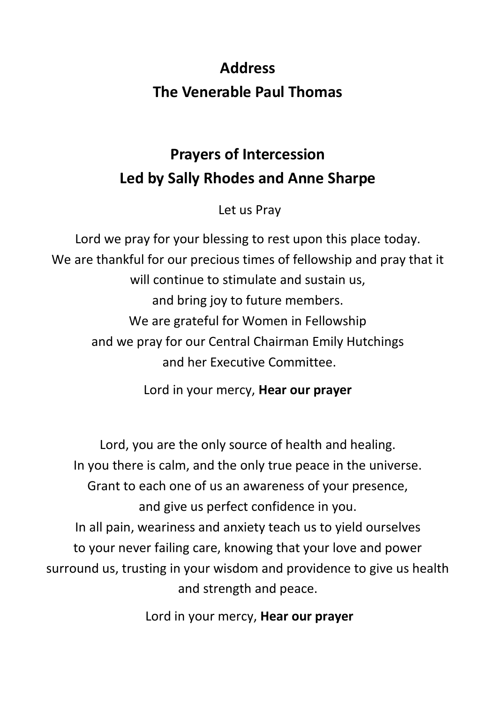# **Address The Venerable Paul Thomas**

# **Prayers of Intercession Led by Sally Rhodes and Anne Sharpe**

Let us Pray

Lord we pray for your blessing to rest upon this place today. We are thankful for our precious times of fellowship and pray that it will continue to stimulate and sustain us, and bring joy to future members. We are grateful for Women in Fellowship and we pray for our Central Chairman Emily Hutchings and her Executive Committee.

Lord in your mercy, **Hear our prayer**

Lord, you are the only source of health and healing. In you there is calm, and the only true peace in the universe. Grant to each one of us an awareness of your presence, and give us perfect confidence in you. In all pain, weariness and anxiety teach us to yield ourselves to your never failing care, knowing that your love and power surround us, trusting in your wisdom and providence to give us health and strength and peace.

Lord in your mercy, **Hear our prayer**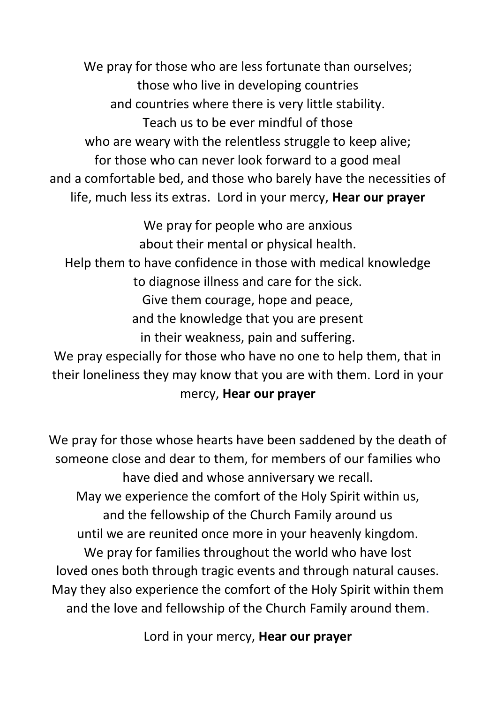We pray for those who are less fortunate than ourselves: those who live in developing countries and countries where there is very little stability. Teach us to be ever mindful of those who are weary with the relentless struggle to keep alive; for those who can never look forward to a good meal and a comfortable bed, and those who barely have the necessities of life, much less its extras. Lord in your mercy, **Hear our prayer**

We pray for people who are anxious about their mental or physical health. Help them to have confidence in those with medical knowledge to diagnose illness and care for the sick. Give them courage, hope and peace, and the knowledge that you are present in their weakness, pain and suffering. We pray especially for those who have no one to help them, that in their loneliness they may know that you are with them. Lord in your mercy, **Hear our prayer**

We pray for those whose hearts have been saddened by the death of someone close and dear to them, for members of our families who have died and whose anniversary we recall. May we experience the comfort of the Holy Spirit within us, and the fellowship of the Church Family around us until we are reunited once more in your heavenly kingdom. We pray for families throughout the world who have lost loved ones both through tragic events and through natural causes. May they also experience the comfort of the Holy Spirit within them and the love and fellowship of the Church Family around them.

Lord in your mercy, **Hear our prayer**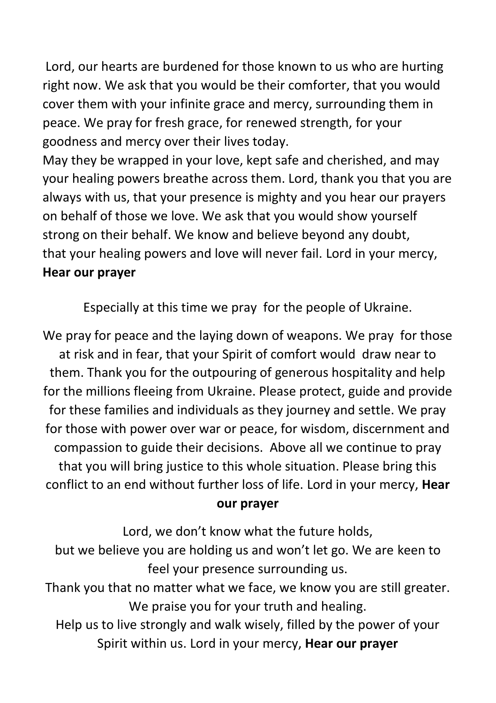Lord, our hearts are burdened for those known to us who are hurting right now. We ask that you would be their comforter, that you would cover them with your infinite grace and mercy, surrounding them in peace. We pray for fresh grace, for renewed strength, for your goodness and mercy over their lives today.

May they be wrapped in your love, kept safe and cherished, and may your healing powers breathe across them. Lord, thank you that you are always with us, that your presence is mighty and you hear our prayers on behalf of those we love. We ask that you would show yourself strong on their behalf. We know and believe beyond any doubt, that your healing powers and love will never fail. Lord in your mercy, **Hear our prayer**

Especially at this time we pray for the people of Ukraine.

We pray for peace and the laying down of weapons. We pray for those at risk and in fear, that your Spirit of comfort would draw near to them. Thank you for the outpouring of generous hospitality and help for the millions fleeing from Ukraine. Please protect, guide and provide for these families and individuals as they journey and settle. We pray for those with power over war or peace, for wisdom, discernment and compassion to guide their decisions. Above all we continue to pray that you will bring justice to this whole situation. Please bring this conflict to an end without further loss of life. Lord in your mercy, **Hear our prayer**

Lord, we don't know what the future holds,

- but we believe you are holding us and won't let go. We are keen to feel your presence surrounding us.
- Thank you that no matter what we face, we know you are still greater. We praise you for your truth and healing.
	- Help us to live strongly and walk wisely, filled by the power of your Spirit within us. Lord in your mercy, **Hear our prayer**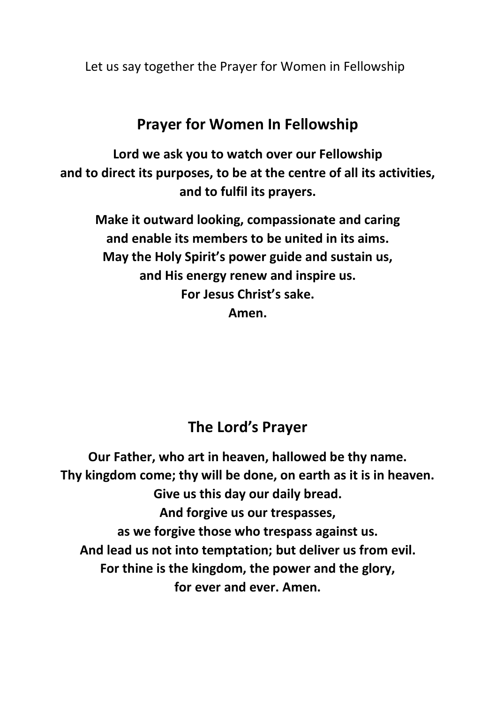Let us say together the Prayer for Women in Fellowship

# **Prayer for Women In Fellowship**

**Lord we ask you to watch over our Fellowship and to direct its purposes, to be at the centre of all its activities, and to fulfil its prayers.**

**Make it outward looking, compassionate and caring and enable its members to be united in its aims. May the Holy Spirit's power guide and sustain us, and His energy renew and inspire us. For Jesus Christ's sake.**

**Amen.** 

# **The Lord's Prayer**

**Our Father, who art in heaven, hallowed be thy name. Thy kingdom come; thy will be done, on earth as it is in heaven. Give us this day our daily bread. And forgive us our trespasses, as we forgive those who trespass against us. And lead us not into temptation; but deliver us from evil. For thine is the kingdom, the power and the glory, for ever and ever. Amen.**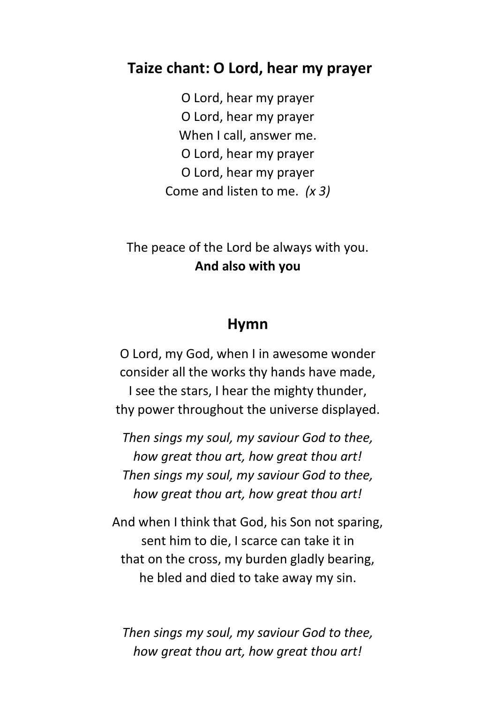### **Taize chant: O Lord, hear my prayer**

O Lord, hear my prayer O Lord, hear my prayer When I call, answer me. O Lord, hear my prayer O Lord, hear my prayer Come and listen to me. *(x 3)*

The peace of the Lord be always with you. **And also with you**

#### **Hymn**

O Lord, my God, when I in awesome wonder consider all the works thy hands have made, I see the stars, I hear the mighty thunder, thy power throughout the universe displayed.

*Then sings my soul, my saviour God to thee, how great thou art, how great thou art! Then sings my soul, my saviour God to thee, how great thou art, how great thou art!*

And when I think that God, his Son not sparing, sent him to die, I scarce can take it in that on the cross, my burden gladly bearing, he bled and died to take away my sin.

*Then sings my soul, my saviour God to thee, how great thou art, how great thou art!*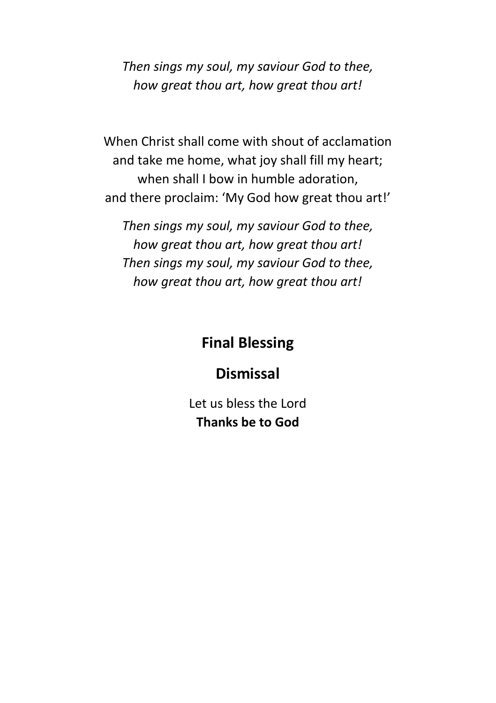*Then sings my soul, my saviour God to thee, how great thou art, how great thou art!*

When Christ shall come with shout of acclamation and take me home, what joy shall fill my heart; when shall I bow in humble adoration, and there proclaim: 'My God how great thou art!'

*Then sings my soul, my saviour God to thee, how great thou art, how great thou art! Then sings my soul, my saviour God to thee, how great thou art, how great thou art!*

### **Final Blessing**

### **Dismissal**

Let us bless the Lord **Thanks be to God**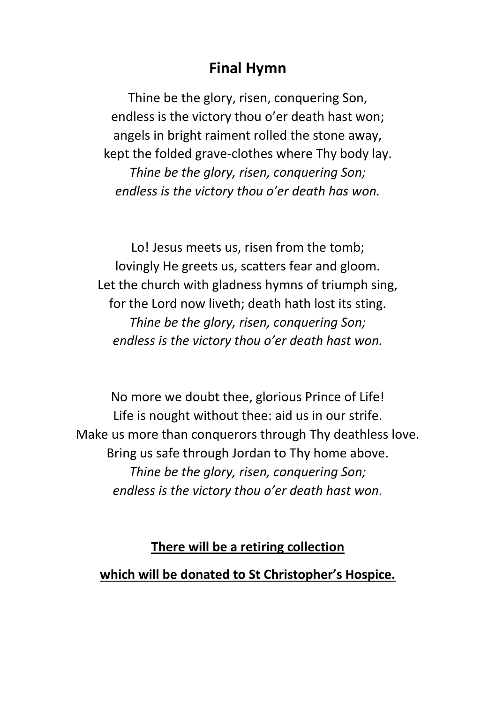### **Final Hymn**

Thine be the glory, risen, conquering Son, endless is the victory thou o'er death hast won; angels in bright raiment rolled the stone away, kept the folded grave-clothes where Thy body lay. *Thine be the glory, risen, conquering Son; endless is the victory thou o'er death has won.*

Lo! Jesus meets us, risen from the tomb; lovingly He greets us, scatters fear and gloom. Let the church with gladness hymns of triumph sing, for the Lord now liveth; death hath lost its sting. *Thine be the glory, risen, conquering Son; endless is the victory thou o'er death hast won.*

No more we doubt thee, glorious Prince of Life! Life is nought without thee: aid us in our strife. Make us more than conquerors through Thy deathless love. Bring us safe through Jordan to Thy home above. *Thine be the glory, risen, conquering Son; endless is the victory thou o'er death hast won.*

#### **There will be a retiring collection**

#### **which will be donated to St Christopher's Hospice.**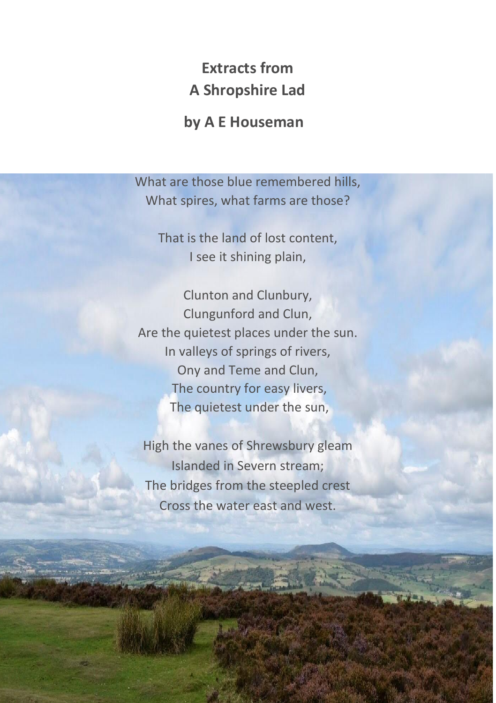# **Extracts from A Shropshire Lad**

#### **by A E Houseman**

What are those blue remembered hills. What spires, what farms are those?

> That is the land of lost content, I see it shining plain,

Clunton and Clunbury, Clungunford and Clun, Are the quietest places under the sun. In valleys of springs of rivers, Ony and Teme and Clun, The country for easy livers, The quietest under the sun,

High the vanes of Shrewsbury gleam Islanded in Severn stream; The bridges from the steepled crest Cross the water east and west.